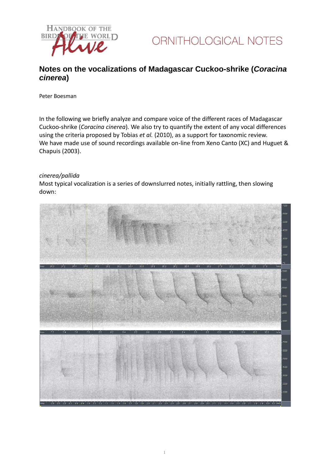



### **Notes on the vocalizations of Madagascar Cuckoo-shrike (***Coracina cinerea***)**

Peter Boesman

In the following we briefly analyze and compare voice of the different races of Madagascar Cuckoo-shrike (*Coracina cinerea*)*.* We also try to quantify the extent of any vocal differences using the criteria proposed by Tobias *et al.* (2010), as a support for taxonomic review. We have made use of sound recordings available on-line from Xeno Canto (XC) and Huguet & Chapuis (2003).

#### *cinerea/pallida*

Most typical vocalization is a series of downslurred notes, initially rattling, then slowing down:

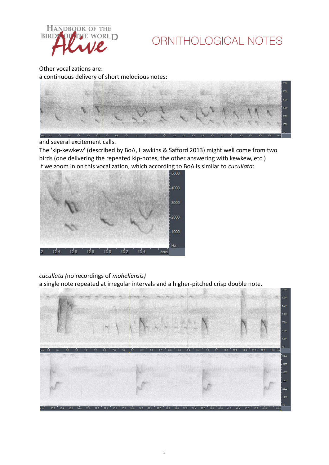

Other vocalizations are:

a continuous delivery of short melodious notes:



and several excitement calls.

The 'kip-kewkew' (described by BoA, Hawkins & Safford 2013) might well come from two birds (one delivering the repeated kip-notes, the other answering with kewkew, etc.) If we zoom in on this vocalization, which according to BoA is similar to *cucullata*:



### *cucullata (*no recordings of *moheliensis)*

a single note repeated at irregular intervals and a higher-pitched crisp double note.

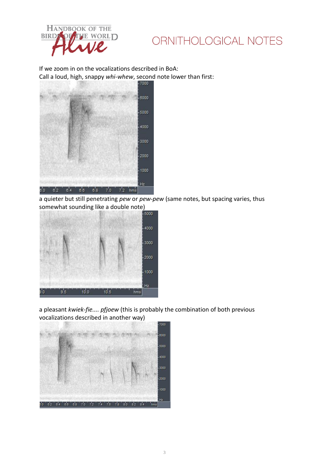

If we zoom in on the vocalizations described in BoA: Call a loud, high, snappy *whi-whew*, second note lower than first:



a quieter but still penetrating *pew* or *pew-pew* (same notes, but spacing varies, thus somewhat sounding like a double note)



a pleasant *kwiek-fie.... pfjoew* (this is probably the combination of both previous vocalizations described in another way)

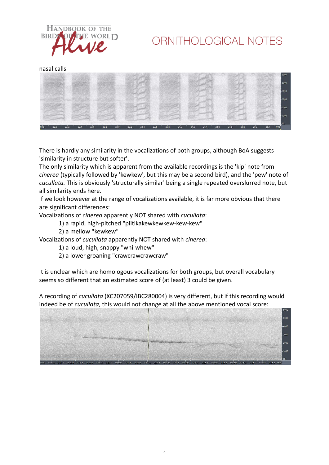

nasal calls



There is hardly any similarity in the vocalizations of both groups, although BoA suggests 'similarity in structure but softer'.

The only similarity which is apparent from the available recordings is the 'kip' note from *cinerea* (typically followed by 'kewkew', but this may be a second bird), and the 'pew' note of *cucullata.* This is obviously 'structurally similar' being a single repeated overslurred note, but all similarity ends here.

If we look however at the range of vocalizations available, it is far more obvious that there are significant differences:

Vocalizations of *cinerea* apparently NOT shared with *cucullata*:

- 1) a rapid, high-pitched "piitikakewkewkew-kew-kew"
- 2) a mellow "kewkew"

Vocalizations of *cucullata* apparently NOT shared with *cinerea*:

- 1) a loud, high, snappy "whi-whew"
- 2) a lower groaning "crawcrawcrawcraw"

It is unclear which are homologous vocalizations for both groups, but overall vocabulary seems so different that an estimated score of (at least) 3 could be given.

A recording of *cucullata* (XC207059/IBC280004) is very different, but if this recording would indeed be of *cucullata*, this would not change at all the above mentioned vocal score: